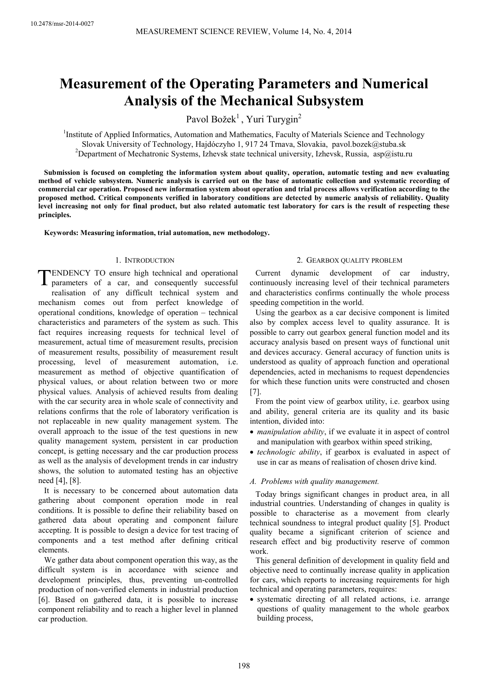# **Measurement of the Operating Parameters and Numerical Analysis of the Mechanical Subsystem**

Pavol Božek<sup>1</sup>, Yuri Turygin<sup>2</sup>

<sup>1</sup>Institute of Applied Informatics, Automation and Mathematics, Faculty of Materials Science and Technology Slovak University of Technology, Hajdóczyho 1, 917 24 Trnava, Slovakia, pavol.bozek@stuba.sk <sup>2</sup>Department of Mechatronic Systems, Izhevsk state technical university, Izhevsk, Russia, asp@istu.ru

**Submission is focused on completing the information system about quality, operation, automatic testing and new evaluating method of vehicle subsystem. Numeric analysis is carried out on the base of automatic collection and systematic recording of commercial car operation. Proposed new information system about operation and trial process allows verification according to the proposed method. Critical components verified in laboratory conditions are detected by numeric analysis of reliability. Quality level increasing not only for final product, but also related automatic test laboratory for cars is the result of respecting these principles.** 

**Keywords: Measuring information, trial automation, new methodology.** 

## 1. INTRODUCTION

ENDENCY TO ensure high technical and operational parameters of a car, and consequently successful realisation of any difficult technical system and mechanism comes out from perfect knowledge of operational conditions, knowledge of operation – technical characteristics and parameters of the system as such. This fact requires increasing requests for technical level of measurement, actual time of measurement results, precision of measurement results, possibility of measurement result processing, level of measurement automation, i.e. measurement as method of objective quantification of physical values, or about relation between two or more physical values. Analysis of achieved results from dealing with the car security area in whole scale of connectivity and relations confirms that the role of laboratory verification is not replaceable in new quality management system. The overall approach to the issue of the test questions in new quality management system, persistent in car production concept, is getting necessary and the car production process as well as the analysis of development trends in car industry shows, the solution to automated testing has an objective need [4], [8]. T

It is necessary to be concerned about automation data gathering about component operation mode in real conditions. It is possible to define their reliability based on gathered data about operating and component failure accepting. It is possible to design a device for test tracing of components and a test method after defining critical elements.

We gather data about component operation this way, as the difficult system is in accordance with science and development principles, thus, preventing un-controlled production of non-verified elements in industrial production [6]. Based on gathered data, it is possible to increase component reliability and to reach a higher level in planned car production.

# 2. GEARBOX QUALITY PROBLEM

Current dynamic development of car industry, continuously increasing level of their technical parameters and characteristics confirms continually the whole process speeding competition in the world.

Using the gearbox as a car decisive component is limited also by complex access level to quality assurance. It is possible to carry out gearbox general function model and its accuracy analysis based on present ways of functional unit and devices accuracy. General accuracy of function units is understood as quality of approach function and operational dependencies, acted in mechanisms to request dependencies for which these function units were constructed and chosen [7].

From the point view of gearbox utility, i.e. gearbox using and ability, general criteria are its quality and its basic intention, divided into:

- *manipulation ability*, if we evaluate it in aspect of control and manipulation with gearbox within speed striking,
- *technologic ability*, if gearbox is evaluated in aspect of use in car as means of realisation of chosen drive kind.

# *A. Problems with quality management.*

Today brings significant changes in product area, in all industrial countries. Understanding of changes in quality is possible to characterise as a movement from clearly technical soundness to integral product quality [5]. Product quality became a significant criterion of science and research effect and big productivity reserve of common work.

This general definition of development in quality field and objective need to continually increase quality in application for cars, which reports to increasing requirements for high technical and operating parameters, requires:

• systematic directing of all related actions, i.e. arrange questions of quality management to the whole gearbox building process,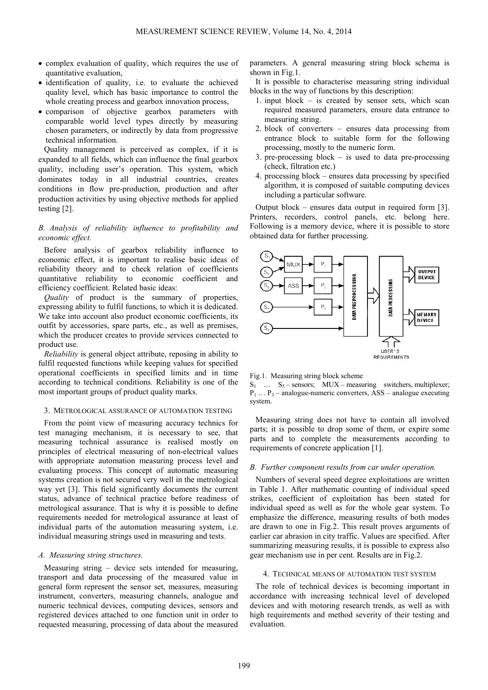- complex evaluation of quality, which requires the use of quantitative evaluation,
- identification of quality, i.e. to evaluate the achieved quality level, which has basic importance to control the whole creating process and gearbox innovation process,
- comparison of objective gearbox parameters with comparable world level types directly by measuring chosen parameters, or indirectly by data from progressive technical information.

Quality management is perceived as complex, if it is expanded to all fields, which can influence the final gearbox quality, including user's operation. This system, which dominates today in all industrial countries, creates conditions in flow pre-production, production and after production activities by using objective methods for applied testing [2].

## *B. Analysis of reliability influence to profitability and economic effect.*

Before analysis of gearbox reliability influence to economic effect, it is important to realise basic ideas of reliability theory and to check relation of coefficients quantitative reliability to economic coefficient and efficiency coefficient. Related basic ideas:

*Quality* of product is the summary of properties, expressing ability to fulfil functions, to which it is dedicated. We take into account also product economic coefficients, its outfit by accessories, spare parts, etc., as well as premises, which the producer creates to provide services connected to product use.

*Reliability* is general object attribute, reposing in ability to fulfil requested functions while keeping values for specified operational coefficients in specified limits and in time according to technical conditions. Reliability is one of the most important groups of product quality marks.

#### 3. METROLOGICAL ASSURANCE OF AUTOMATION TESTING

From the point view of measuring accuracy technics for test managing mechanism, it is necessary to see, that measuring technical assurance is realised mostly on principles of electrical measuring of non-electrical values with appropriate automation measuring process level and evaluating process. This concept of automatic measuring systems creation is not secured very well in the metrological way yet [3]. This field significantly documents the current status, advance of technical practice before readiness of metrological assurance. That is why it is possible to define requirements needed for metrological assurance at least of individual parts of the automation measuring system, i.e. individual measuring strings used in measuring and tests.

#### *A. Measuring string structures.*

Measuring string – device sets intended for measuring, transport and data processing of the measured value in general form represent the sensor set, measures, measuring instrument, converters, measuring channels, analogue and numeric technical devices, computing devices, sensors and registered devices attached to one function unit in order to requested measuring, processing of data about the measured

parameters. A general measuring string block schema is shown in Fig.1.

It is possible to characterise measuring string individual blocks in the way of functions by this description:

- 1. input block is created by sensor sets, which scan required measured parameters, ensure data entrance to measuring string.
- 2. block of converters ensures data processing from entrance block to suitable form for the following processing, mostly to the numeric form.
- 3. pre-processing block is used to data pre-processing (check, filtration etc.)
- 4. processing block ensures data processing by specified algorithm, it is composed of suitable computing devices including a particular software.

Output block – ensures data output in required form [3]. Printers, recorders, control panels, etc. belong here. Following is a memory device, where it is possible to store obtained data for further processing.





 $S_1$  ...  $S_5$  – sensors; MUX – measuring switchers, multiplexer;  $P_1$  ...  $P_3$  – analogue-numeric converters, ASS – analogue executing system.

Measuring string does not have to contain all involved parts; it is possible to drop some of them, or expire some parts and to complete the measurements according to requirements of concrete application [1].

#### *B. Further component results from car under operation.*

Numbers of several speed degree exploitations are written in Table 1. After mathematic counting of individual speed strikes, coefficient of exploitation has been stated for individual speed as well as for the whole gear system. To emphasize the difference, measuring results of both modes are drawn to one in Fig.2. This result proves arguments of earlier car abrasion in city traffic. Values are specified. After summarizing measuring results, it is possible to express also gear mechanism use in per cent. Results are in Fig.2.

#### 4. TECHNICAL MEANS OF AUTOMATION TEST SYSTEM

The role of technical devices is becoming important in accordance with increasing technical level of developed devices and with motoring research trends, as well as with high requirements and method severity of their testing and evaluation.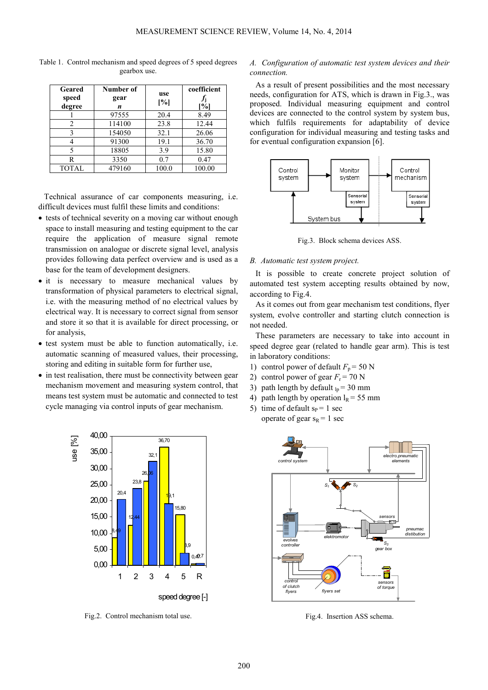| Geared<br>speed<br>degree | Number of<br>gear<br>n | use<br>[%] | coefficient<br>$\%$ |
|---------------------------|------------------------|------------|---------------------|
|                           | 97555                  | 20.4       | 8.49                |
| 2                         | 114100                 | 23.8       | 12.44               |
| 3                         | 154050                 | 32.1       | 26.06               |
|                           | 91300                  | 19.1       | 36.70               |
|                           | 18805                  | 3.9        | 15.80               |
| R                         | 3350                   | 0.7        | 0.47                |
| <b>TOTAL</b>              | 479160                 | 100.0      | 100.00              |

Table 1. Control mechanism and speed degrees of 5 speed degrees gearbox use.

Technical assurance of car components measuring, i.e. difficult devices must fulfil these limits and conditions:

- tests of technical severity on a moving car without enough space to install measuring and testing equipment to the car require the application of measure signal remote transmission on analogue or discrete signal level, analysis provides following data perfect overview and is used as a base for the team of development designers.
- it is necessary to measure mechanical values by transformation of physical parameters to electrical signal, i.e. with the measuring method of no electrical values by electrical way. It is necessary to correct signal from sensor and store it so that it is available for direct processing, or for analysis,
- test system must be able to function automatically, i.e. automatic scanning of measured values, their processing, storing and editing in suitable form for further use,
- in test realisation, there must be connectivity between gear mechanism movement and measuring system control, that means test system must be automatic and connected to test cycle managing via control inputs of gear mechanism.



Fig.2. Control mechanism total use.

## *A. Configuration of automatic test system devices and their connection.*

As a result of present possibilities and the most necessary needs, configuration for ATS, which is drawn in Fig.3., was proposed. Individual measuring equipment and control devices are connected to the control system by system bus, which fulfils requirements for adaptability of device configuration for individual measuring and testing tasks and for eventual configuration expansion [6].



Fig.3. Block schema devices ASS.

#### *B. Automatic test system project.*

It is possible to create concrete project solution of automated test system accepting results obtained by now, according to Fig.4.

As it comes out from gear mechanism test conditions, flyer system, evolve controller and starting clutch connection is not needed.

These parameters are necessary to take into account in speed degree gear (related to handle gear arm). This is test in laboratory conditions:

- 1) control power of default  $F_p = 50$  N
- 2) control power of gear  $F_r$  = 70 N
- 3) path length by default  $_{lp}$  = 30 mm
- 4) path length by operation  $l_R$  = 55 mm
- 5) time of default  $s_P = 1$  sec operate of gear  $s_R = 1$  sec



Fig.4. Insertion ASS schema.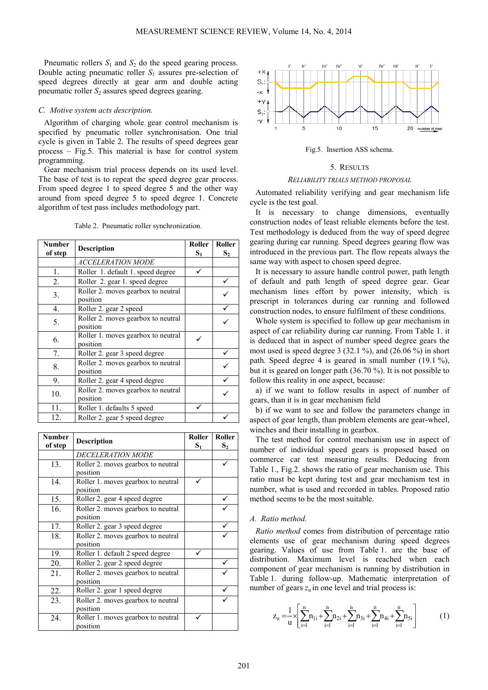Pneumatic rollers  $S_1$  and  $S_2$  do the speed gearing process. Double acting pneumatic roller *S*1 assures pre-selection of speed degrees directly at gear arm and double acting pneumatic roller  $S_2$  assures speed degrees gearing.

## *C. Motive system acts description.*

Algorithm of charging whole gear control mechanism is specified by pneumatic roller synchronisation. One trial cycle is given in Table 2. The results of speed degrees gear process – Fig.5. This material is base for control system programming.

Gear mechanism trial process depends on its used level. The base of test is to repeat the speed degree gear process. From speed degree 1 to speed degree 5 and the other way around from speed degree 5 to speed degree 1. Concrete algorithm of test pass includes methodology part.

| <b>Number</b><br>of step | <b>Description</b>                             | Roller<br>$\mathbf{S}_1$ | Roller<br>$S_{2}$ |
|--------------------------|------------------------------------------------|--------------------------|-------------------|
|                          | <b>ACCELERATION MODE</b>                       |                          |                   |
| 1.                       | Roller 1. default 1. speed degree              |                          |                   |
| 2.                       | Roller 2. gear 1. speed degree                 |                          |                   |
| 3.                       | Roller 2. moves gearbox to neutral<br>position |                          |                   |
| 4.                       | Roller 2. gear 2 speed                         |                          |                   |
| 5.                       | Roller 2. moves gearbox to neutral<br>position |                          |                   |
| 6.                       | Roller 1. moves gearbox to neutral<br>position |                          |                   |
| 7.                       | Roller 2. gear 3 speed degree                  |                          |                   |
| 8.                       | Roller 2. moves gearbox to neutral<br>position |                          |                   |
| 9.                       | Roller 2. gear 4 speed degree                  |                          |                   |
| 10.                      | Roller 2. moves gearbox to neutral<br>position |                          |                   |
| 11.                      | Roller 1. defaults 5 speed                     |                          |                   |
| 12.                      | Roller 2. gear 5 speed degree                  |                          |                   |

Table 2. Pneumatic roller synchronization.

| <b>Number</b><br>of step | <b>Description</b>                             | Roller<br>$\mathbf{S}_{1}$ | Roller<br>S, |
|--------------------------|------------------------------------------------|----------------------------|--------------|
|                          | <b>DECELERATION MODE</b>                       |                            |              |
| 13.                      | Roller 2. moves gearbox to neutral<br>position |                            |              |
| 14.                      | Roller 1. moves gearbox to neutral<br>position |                            |              |
| 15.                      | Roller 2. gear 4 speed degree                  |                            |              |
| 16.                      | Roller 2. moves gearbox to neutral<br>position |                            |              |
| 17.                      | Roller 2. gear 3 speed degree                  |                            |              |
| 18.                      | Roller 2. moves gearbox to neutral<br>position |                            |              |
| 19.                      | Roller 1. default 2 speed degree               |                            |              |
| 20.                      | Roller 2. gear 2 speed degree                  |                            |              |
| 21.                      | Roller 2. moves gearbox to neutral<br>position |                            |              |
| 22.                      | Roller 2. gear 1 speed degree                  |                            |              |
| 23.                      | Roller 2. moves gearbox to neutral<br>position |                            |              |
| 24.                      | Roller 1. moves gearbox to neutral<br>position |                            |              |



Fig.5. Insertion ASS schema.

#### 5. RESULTS

#### *RELIABILITY TRIALS METHOD PROPOSAL*

Automated reliability verifying and gear mechanism life cycle is the test goal.

It is necessary to change dimensions, eventually construction nodes of least reliable elements before the test. Test methodology is deduced from the way of speed degree gearing during car running. Speed degrees gearing flow was introduced in the previous part. The flow repeats always the same way with aspect to chosen speed degree.

It is necessary to assure handle control power, path length of default and path length of speed degree gear. Gear mechanism lines effort by power intensity, which is prescript in tolerances during car running and followed construction nodes, to ensure fulfilment of these conditions.

Whole system is specified to follow up gear mechanism in aspect of car reliability during car running. From Table 1. it is deduced that in aspect of number speed degree gears the most used is speed degree 3 (32.1 %), and (26.06 %) in short path. Speed degree 4 is geared in small number (19.1 %), but it is geared on longer path (36.70 %). It is not possible to follow this reality in one aspect, because:

a) if we want to follow results in aspect of number of gears, than it is in gear mechanism field

b) if we want to see and follow the parameters change in aspect of gear length, than problem elements are gear-wheel, winches and their installing in gearbox.

The test method for control mechanism use in aspect of number of individual speed gears is proposed based on commerce car test measuring results. Deducing from Table 1., Fig.2. shows the ratio of gear mechanism use. This ratio must be kept during test and gear mechanism test in number, what is used and recorded in tables. Proposed ratio method seems to be the most suitable.

#### *A. Ratio method.*

*Ratio method* comes from distribution of percentage ratio elements use of gear mechanism during speed degrees gearing. Values of use from Table 1. are the base of distribution. Maximum level is reached when each component of gear mechanism is running by distribution in Table 1. during follow-up. Mathematic interpretation of number of gears  $z<sub>u</sub>$  in one level and trial process is:

$$
z_{u} = -\frac{1}{u} \left[ \sum_{i=1}^{n} n_{1i} + \sum_{i=1}^{n} n_{2i} + \sum_{i=1}^{n} n_{3i} + \sum_{i=1}^{n} n_{4i} + \sum_{i=1}^{n} n_{5i} \right]
$$
(1)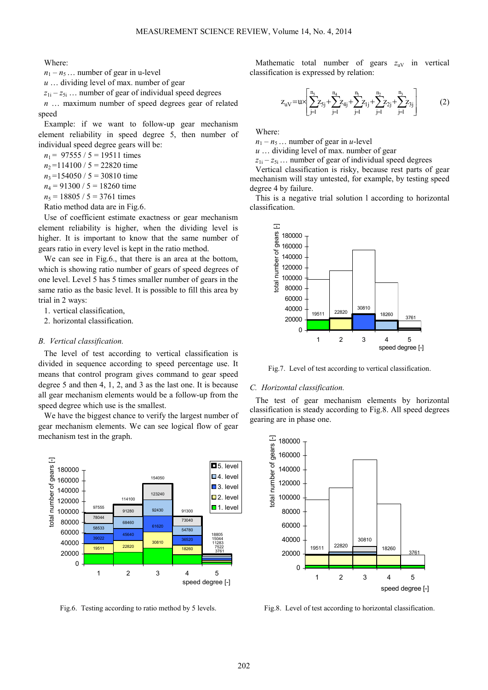Where:

 $n_1 - n_5 ...$  number of gear in u-level

*u* … dividing level of max. number of gear

 $z_{1i} - z_{5i}$  ... number of gear of individual speed degrees

*n* … maximum number of speed degrees gear of related speed

Example: if we want to follow-up gear mechanism element reliability in speed degree 5, then number of individual speed degree gears will be:

 $n_1$  = 97555 / 5 = 19511 times  $n_2$ =114100 / 5 = 22820 time  $n_3 = 154050 / 5 = 30810$  time

 $n_4$  = 91300 / 5 = 18260 time

 $n_5$  = 18805 / 5 = 3761 times

Ratio method data are in Fig.6.

Use of coefficient estimate exactness or gear mechanism element reliability is higher, when the dividing level is higher. It is important to know that the same number of gears ratio in every level is kept in the ratio method.

We can see in Fig.6., that there is an area at the bottom, which is showing ratio number of gears of speed degrees of one level. Level 5 has 5 times smaller number of gears in the same ratio as the basic level. It is possible to fill this area by trial in 2 ways:

1. vertical classification,

2. horizontal classification.

## *B. Vertical classification.*

The level of test according to vertical classification is divided in sequence according to speed percentage use. It means that control program gives command to gear speed degree 5 and then 4, 1, 2, and 3 as the last one. It is because all gear mechanism elements would be a follow-up from the speed degree which use is the smallest.

We have the biggest chance to verify the largest number of gear mechanism elements. We can see logical flow of gear mechanism test in the graph.



Fig.6. Testing according to ratio method by 5 levels.

Mathematic total number of gears  $z_{uv}$  in vertical classification is expressed by relation:

$$
z_{uV} = u \times \left[ \sum_{j=1}^{n_5} z_{5j} + \sum_{j=1}^{n_4} z_{4j} + \sum_{j=1}^{n_1} z_{1j} + \sum_{j=1}^{n_2} z_{2j} + \sum_{j=1}^{n_3} z_{3j} \right]
$$
(2)

Where:

 $n_1 - n_5 ...$  number of gear in *u*-level

*u* … dividing level of max. number of gear

 $z_{1i} - z_{5i}$  ... number of gear of individual speed degrees

Vertical classification is risky, because rest parts of gear mechanism will stay untested, for example, by testing speed degree 4 by failure.

This is a negative trial solution l according to horizontal classification.



Fig.7. Level of test according to vertical classification.

#### *C. Horizontal classification.*

The test of gear mechanism elements by horizontal classification is steady according to Fig.8. All speed degrees gearing are in phase one.



Fig.8. Level of test according to horizontal classification.